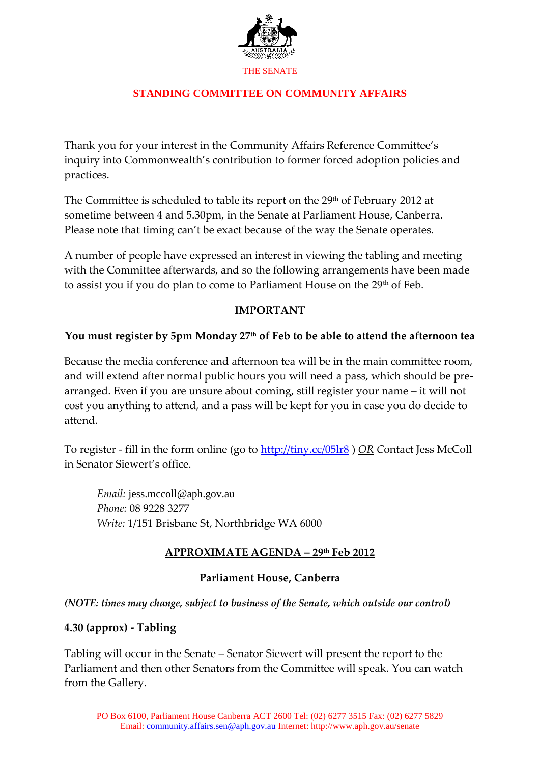

## **STANDING COMMITTEE ON COMMUNITY AFFAIRS**

Thank you for your interest in the Community Affairs Reference Committee's inquiry into Commonwealth's contribution to former forced adoption policies and practices.

The Committee is scheduled to table its report on the 29<sup>th</sup> of February 2012 at sometime between 4 and 5.30pm, in the Senate at Parliament House, Canberra. Please note that timing can't be exact because of the way the Senate operates.

A number of people have expressed an interest in viewing the tabling and meeting with the Committee afterwards, and so the following arrangements have been made to assist you if you do plan to come to Parliament House on the 29<sup>th</sup> of Feb.

### **IMPORTANT**

### **You must register by 5pm Monday 27th of Feb to be able to attend the afternoon tea**

Because the media conference and afternoon tea will be in the main committee room, and will extend after normal public hours you will need a pass, which should be prearranged. Even if you are unsure about coming, still register your name – it will not cost you anything to attend, and a pass will be kept for you in case you do decide to attend.

To register - fill in the form online (go to<http://tiny.cc/05lr8> ) *OR C*ontact Jess McColl in Senator Siewert's office.

*Email:* [jess.mccoll@aph.gov.au](mailto:jess.mccoll@aph.gov.au) *Phone:* 08 9228 3277 *Write:* 1/151 Brisbane St, Northbridge WA 6000

## **APPROXIMATE AGENDA – 29th Feb 2012**

## **Parliament House, Canberra**

*(NOTE: times may change, subject to business of the Senate, which outside our control)*

#### **4.30 (approx) - Tabling**

Tabling will occur in the Senate – Senator Siewert will present the report to the Parliament and then other Senators from the Committee will speak. You can watch from the Gallery.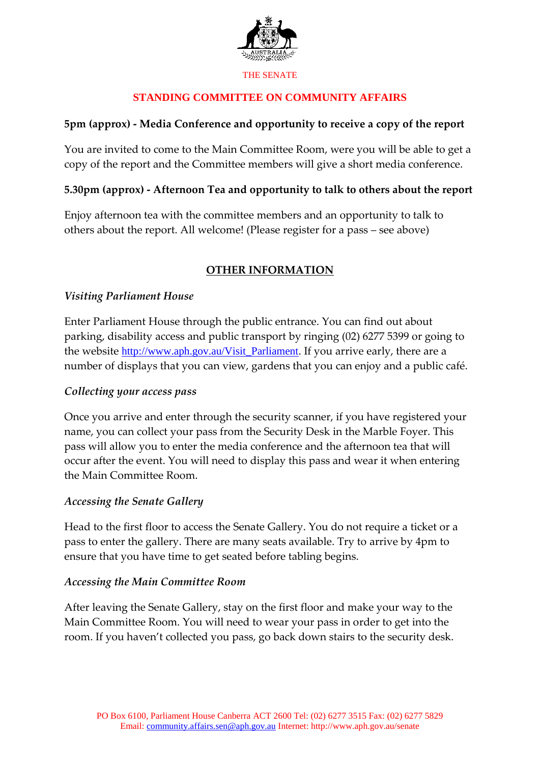

# **STANDING COMMITTEE ON COMMUNITY AFFAIRS**

## **5pm (approx) - Media Conference and opportunity to receive a copy of the report**

You are invited to come to the Main Committee Room, were you will be able to get a copy of the report and the Committee members will give a short media conference.

### **5.30pm (approx) - Afternoon Tea and opportunity to talk to others about the report**

Enjoy afternoon tea with the committee members and an opportunity to talk to others about the report. All welcome! (Please register for a pass – see above)

# **OTHER INFORMATION**

### *Visiting Parliament House*

Enter Parliament House through the public entrance. You can find out about parking, disability access and public transport by ringing (02) 6277 5399 or going to the website [http://www.aph.gov.au/Visit\\_Parliament.](http://www.aph.gov.au/Visit_Parliament) If you arrive early, there are a number of displays that you can view, gardens that you can enjoy and a public café.

#### *Collecting your access pass*

Once you arrive and enter through the security scanner, if you have registered your name, you can collect your pass from the Security Desk in the Marble Foyer. This pass will allow you to enter the media conference and the afternoon tea that will occur after the event. You will need to display this pass and wear it when entering the Main Committee Room.

#### *Accessing the Senate Gallery*

Head to the first floor to access the Senate Gallery. You do not require a ticket or a pass to enter the gallery. There are many seats available. Try to arrive by 4pm to ensure that you have time to get seated before tabling begins.

#### *Accessing the Main Committee Room*

After leaving the Senate Gallery, stay on the first floor and make your way to the Main Committee Room. You will need to wear your pass in order to get into the room. If you haven't collected you pass, go back down stairs to the security desk.